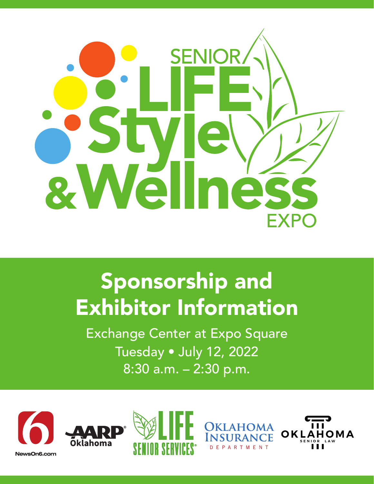

## Sponsorship and Exhibitor Information

Exchange Center at Expo Square Tuesday • July 12, 2022 8:30 a.m. – 2:30 p.m.









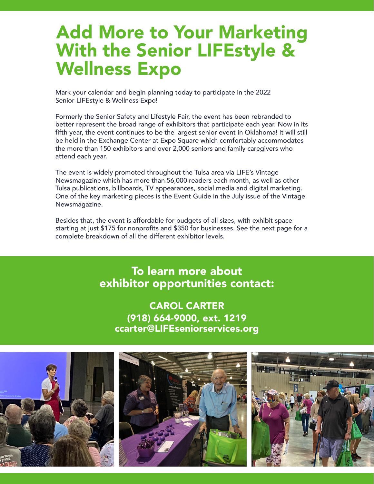## Add More to Your Marketing With the Senior LIFEstyle & Wellness Expo

Mark your calendar and begin planning today to participate in the 2022 Senior LIFEstyle & Wellness Expo!

Formerly the Senior Safety and Lifestyle Fair, the event has been rebranded to better represent the broad range of exhibitors that participate each year. Now in its fifth year, the event continues to be the largest senior event in Oklahoma! It will still be held in the Exchange Center at Expo Square which comfortably accommodates the more than 150 exhibitors and over 2,000 seniors and family caregivers who attend each year.

The event is widely promoted throughout the Tulsa area via LIFE's Vintage Newsmagazine which has more than 56,000 readers each month, as well as other Tulsa publications, billboards, TV appearances, social media and digital marketing. One of the key marketing pieces is the Event Guide in the July issue of the Vintage Newsmagazine.

Besides that, the event is affordable for budgets of all sizes, with exhibit space starting at just \$175 for nonprofits and \$350 for businesses. See the next page for a complete breakdown of all the different exhibitor levels.

> To learn more about exhibitor opportunities contact:

CAROL CARTER (918) 664-9000, ext. 1219 ccarter@LIFEseniorservices.org